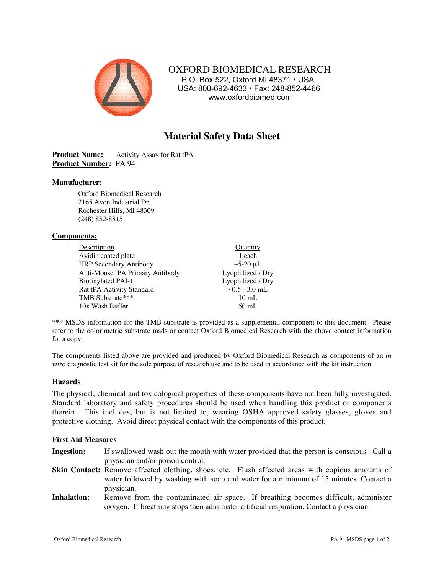

 OXFORD BIOMEDICAL RESEARCH P.O. Box 522, Oxford MI 48371 • USA USA: 800-692-4633 • Fax: 248-852-4466 www.oxfordbiomed.com

# **Material Safety Data Sheet**

**Product Name:** Activity Assay for Rat tPA **Product Number:** PA 94

# **Manufacturer:**

Oxford Biomedical Research 2165 Avon Industrial Dr. Rochester Hills, MI 48309 (248) 852-8815

### **Components:**

| Descrtiption                    | Quantity            |
|---------------------------------|---------------------|
| Avidin coated plate             | 1 each              |
| <b>HRP</b> Secondary Antibody   | $\sim$ 5-20 µL      |
| Anti-Mouse tPA Primary Antibody | Lyophilized / Dry   |
| <b>Biotinylated PAI-1</b>       | Lyophilized / Dry   |
| Rat tPA Activity Standard       | $\sim 0.5 - 3.0$ mL |
| TMB Substrate***                | $10$ mL             |
| 10x Wash Buffer                 | $50 \text{ mL}$     |

\*\*\* MSDS information for the TMB substrate is provided as a supplemental component to this document. Please refer to the colorimetric substrate msds or contact Oxford Biomedical Research with the above contact information for a copy.

The components listed above are provided and produced by Oxford Biomedical Research as components of an *in vitro* diagnostic test kit for the sole purpose of research use and to be used in accordance with the kit instruction.

# **Hazards**

The physical, chemical and toxicological properties of these components have not been fully investigated. Standard laboratory and safety procedures should be used when handling this product or components therein. This includes, but is not limited to, wearing OSHA approved safety glasses, gloves and protective clothing. Avoid direct physical contact with the components of this product.

#### **First Aid Measures**

- **Ingestion:** If swallowed wash out the mouth with water provided that the person is conscious. Call a physician and/or poison control.
- **Skin Contact:** Remove affected clothing, shoes, etc. Flush affected areas with copious amounts of water followed by washing with soap and water for a minimum of 15 minutes. Contact a physician.
- **Inhalation:** Remove from the contaminated air space. If breathing becomes difficult, administer oxygen. If breathing stops then administer artificial respiration. Contact a physician.